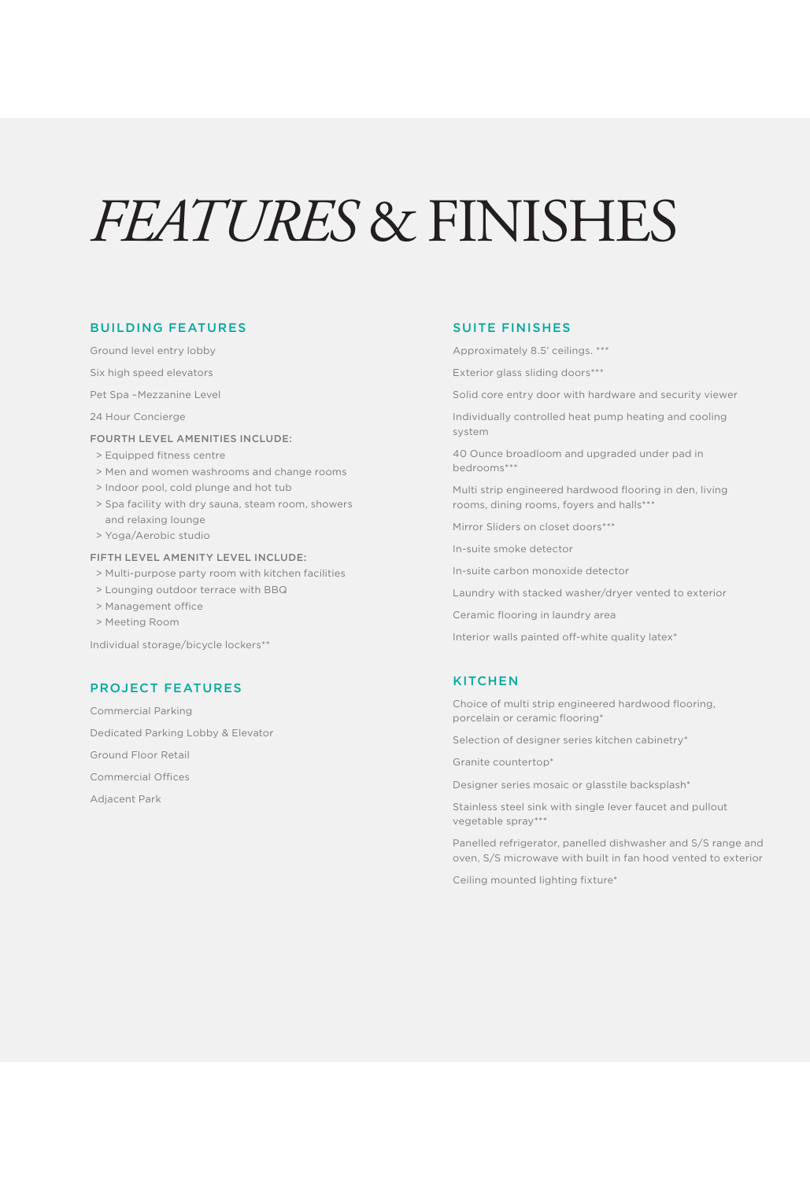# *FEATURES* & FINISHES

### BUILDING FEATURES

Ground level entry lobby

Six high speed elevators

Pet Spa –Mezzanine Level

24 Hour Concierge

FOURTH LEVEL AMENITIES INCLUDE:

- > Equipped fitness centre
- > Men and women washrooms and change rooms
- > Indoor pool, cold plunge and hot tub
- > Spa facility with dry sauna, steam room, showers and relaxing lounge
- > Yoga/Aerobic studio

#### FIFTH LEVEL AMENITY LEVEL INCLUDE:

- > Multi-purpose party room with kitchen facilities
- > Lounging outdoor terrace with BBQ
- > Management office
- > Meeting Room

Individual storage/bicycle lockers\*\*

# PROJECT FEATURES

Commercial Parking Dedicated Parking Lobby & Elevator Ground Floor Retail Commercial Offices Adjacent Park

#### SUITE FINISHES

Approximately 8.5' ceilings. \*\*\*

Exterior glass sliding doors\*\*\*

Solid core entry door with hardware and security viewer

Individually controlled heat pump heating and cooling system

40 Ounce broadloom and upgraded under pad in bedrooms\*\*\*

Multi strip engineered hardwood flooring in den, living rooms, dining rooms, foyers and halls\*\*\*

Mirror Sliders on closet doors\*\*\*

In-suite smoke detector

In-suite carbon monoxide detector

Laundry with stacked washer/dryer vented to exterior

Ceramic flooring in laundry area

Interior walls painted off-white quality latex\*

#### **KITCHEN**

Choice of multi strip engineered hardwood flooring, porcelain or ceramic flooring\*

Selection of designer series kitchen cabinetry\*

Granite countertop\*

Designer series mosaic or glasstile backsplash\*

Stainless steel sink with single lever faucet and pullout vegetable spray\*\*\*

Panelled refrigerator, panelled dishwasher and S/S range and oven, S/S microwave with built in fan hood vented to exterior

Ceiling mounted lighting fixture\*